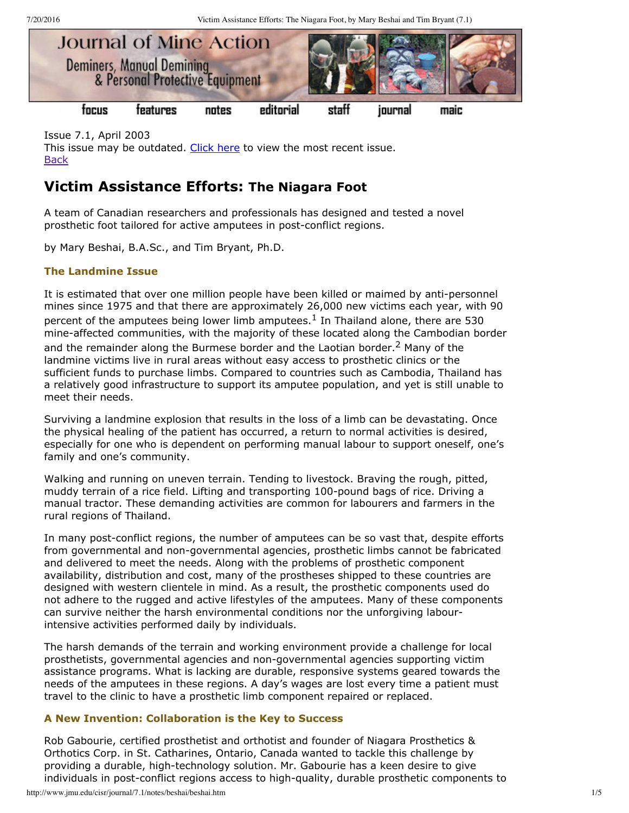7/20/2016 Victim Assistance Efforts: The Niagara Foot, by Mary Beshai and Tim Bryant (7.1)



Issue 7.1, April 2003 This issue may be outdated. [Click](http://www.jmu.edu/cisr/journal/current.shtml) here to view the most recent issue. **[Back](http://www.jmu.edu/cisr/journal/7.1/index.htm)** 

# **Victim Assistance Efforts: The Niagara Foot**

A team of Canadian researchers and professionals has designed and tested a novel prosthetic foot tailored for active amputees in post-conflict regions.

by Mary Beshai, B.A.Sc., and Tim Bryant, Ph.D.

# **The Landmine Issue**

It is estimated that over one million people have been killed or maimed by anti-personnel mines since 1975 and that there are approximately 26,000 new victims each year, with 90 percent of the amputees being lower limb amputees.<sup>1</sup> In Thailand alone, there are 530 mine-affected communities, with the majority of these located along the Cambodian border and the remainder along the Burmese border and the Laotian border.<sup>2</sup> Many of the landmine victims live in rural areas without easy access to prosthetic clinics or the sufficient funds to purchase limbs. Compared to countries such as Cambodia, Thailand has a relatively good infrastructure to support its amputee population, and yet is still unable to meet their needs.

Surviving a landmine explosion that results in the loss of a limb can be devastating. Once the physical healing of the patient has occurred, a return to normal activities is desired, especially for one who is dependent on performing manual labour to support oneself, one's family and one's community.

Walking and running on uneven terrain. Tending to livestock. Braving the rough, pitted, muddy terrain of a rice field. Lifting and transporting 100-pound bags of rice. Driving a manual tractor. These demanding activities are common for labourers and farmers in the rural regions of Thailand.

In many post-conflict regions, the number of amputees can be so vast that, despite efforts from governmental and non-governmental agencies, prosthetic limbs cannot be fabricated and delivered to meet the needs. Along with the problems of prosthetic component availability, distribution and cost, many of the prostheses shipped to these countries are designed with western clientele in mind. As a result, the prosthetic components used do not adhere to the rugged and active lifestyles of the amputees. Many of these components can survive neither the harsh environmental conditions nor the unforgiving labourintensive activities performed daily by individuals.

The harsh demands of the terrain and working environment provide a challenge for local prosthetists, governmental agencies and nongovernmental agencies supporting victim assistance programs. What is lacking are durable, responsive systems geared towards the needs of the amputees in these regions. A day's wages are lost every time a patient must travel to the clinic to have a prosthetic limb component repaired or replaced.

## **A New Invention: Collaboration is the Key to Success**

Rob Gabourie, certified prosthetist and orthotist and founder of Niagara Prosthetics & Orthotics Corp. in St. Catharines, Ontario, Canada wanted to tackle this challenge by providing a durable, high-technology solution. Mr. Gabourie has a keen desire to give individuals in post-conflict regions access to high-quality, durable prosthetic components to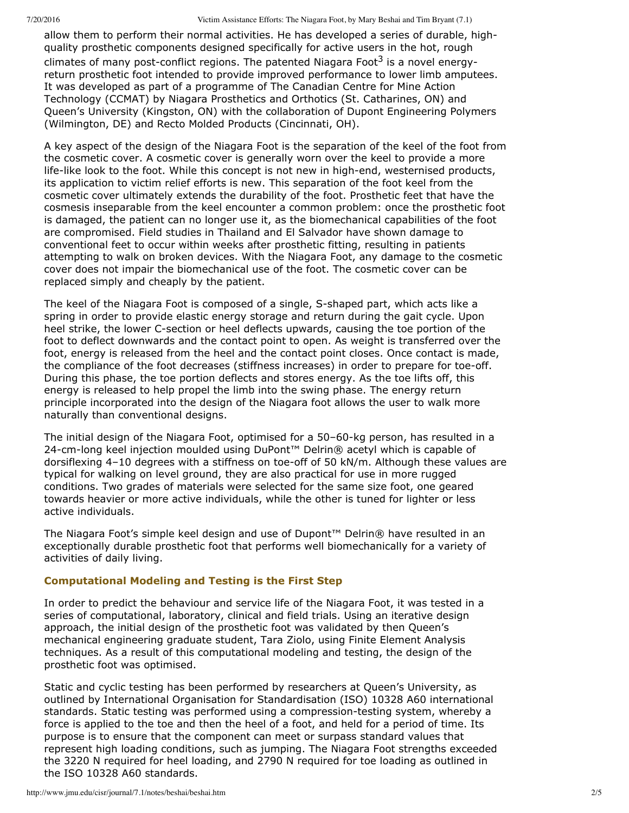7/20/2016 Victim Assistance Efforts: The Niagara Foot, by Mary Beshai and Tim Bryant (7.1)

allow them to perform their normal activities. He has developed a series of durable, highquality prosthetic components designed specifically for active users in the hot, rough climates of many post-conflict regions. The patented Niagara Foot<sup>3</sup> is a novel energyreturn prosthetic foot intended to provide improved performance to lower limb amputees. It was developed as part of a programme of The Canadian Centre for Mine Action Technology (CCMAT) by Niagara Prosthetics and Orthotics (St. Catharines, ON) and Queen's University (Kingston, ON) with the collaboration of Dupont Engineering Polymers (Wilmington, DE) and Recto Molded Products (Cincinnati, OH).

A key aspect of the design of the Niagara Foot is the separation of the keel of the foot from the cosmetic cover. A cosmetic cover is generally worn over the keel to provide a more life-like look to the foot. While this concept is not new in high-end, westernised products, its application to victim relief efforts is new. This separation of the foot keel from the cosmetic cover ultimately extends the durability of the foot. Prosthetic feet that have the cosmesis inseparable from the keel encounter a common problem: once the prosthetic foot is damaged, the patient can no longer use it, as the biomechanical capabilities of the foot are compromised. Field studies in Thailand and El Salvador have shown damage to conventional feet to occur within weeks after prosthetic fitting, resulting in patients attempting to walk on broken devices. With the Niagara Foot, any damage to the cosmetic cover does not impair the biomechanical use of the foot. The cosmetic cover can be replaced simply and cheaply by the patient.

The keel of the Niagara Foot is composed of a single, S-shaped part, which acts like a spring in order to provide elastic energy storage and return during the gait cycle. Upon heel strike, the lower C-section or heel deflects upwards, causing the toe portion of the foot to deflect downwards and the contact point to open. As weight is transferred over the foot, energy is released from the heel and the contact point closes. Once contact is made, the compliance of the foot decreases (stiffness increases) in order to prepare for toe-off. During this phase, the toe portion deflects and stores energy. As the toe lifts off, this energy is released to help propel the limb into the swing phase. The energy return principle incorporated into the design of the Niagara foot allows the user to walk more naturally than conventional designs.

The initial design of the Niagara Foot, optimised for a 50-60-kg person, has resulted in a 24-cm-long keel injection moulded using DuPont™ Delrin® acetyl which is capable of dorsiflexing 4-10 degrees with a stiffness on toe-off of 50 kN/m. Although these values are typical for walking on level ground, they are also practical for use in more rugged conditions. Two grades of materials were selected for the same size foot, one geared towards heavier or more active individuals, while the other is tuned for lighter or less active individuals.

The Niagara Foot's simple keel design and use of Dupont™ Delrin® have resulted in an exceptionally durable prosthetic foot that performs well biomechanically for a variety of activities of daily living.

#### **Computational Modeling and Testing is the First Step**

In order to predict the behaviour and service life of the Niagara Foot, it was tested in a series of computational, laboratory, clinical and field trials. Using an iterative design approach, the initial design of the prosthetic foot was validated by then Queen's mechanical engineering graduate student, Tara Ziolo, using Finite Element Analysis techniques. As a result of this computational modeling and testing, the design of the prosthetic foot was optimised.

Static and cyclic testing has been performed by researchers at Queen's University, as outlined by International Organisation for Standardisation (ISO) 10328 A60 international standards. Static testing was performed using a compression-testing system, whereby a force is applied to the toe and then the heel of a foot, and held for a period of time. Its purpose is to ensure that the component can meet or surpass standard values that represent high loading conditions, such as jumping. The Niagara Foot strengths exceeded the 3220 N required for heel loading, and 2790 N required for toe loading as outlined in the ISO 10328 A60 standards.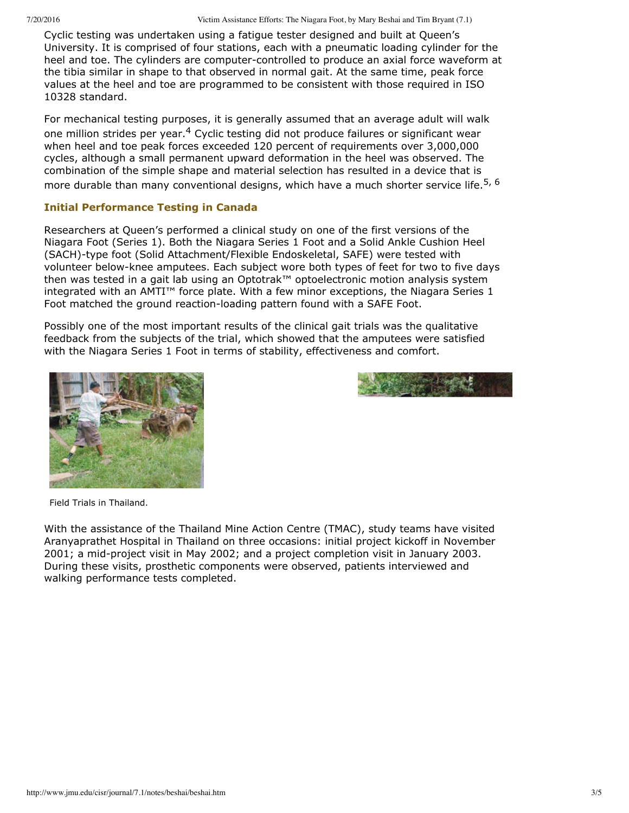Cyclic testing was undertaken using a fatigue tester designed and built at Queen's University. It is comprised of four stations, each with a pneumatic loading cylinder for the heel and toe. The cylinders are computer-controlled to produce an axial force waveform at the tibia similar in shape to that observed in normal gait. At the same time, peak force values at the heel and toe are programmed to be consistent with those required in ISO 10328 standard.

For mechanical testing purposes, it is generally assumed that an average adult will walk one million strides per year.<sup>4</sup> Cyclic testing did not produce failures or significant wear when heel and toe peak forces exceeded 120 percent of requirements over 3,000,000 cycles, although a small permanent upward deformation in the heel was observed. The combination of the simple shape and material selection has resulted in a device that is more durable than many conventional designs, which have a much shorter service life.<sup>5, 6</sup>

### **Initial Performance Testing in Canada**

Researchers at Queen's performed a clinical study on one of the first versions of the Niagara Foot (Series 1). Both the Niagara Series 1 Foot and a Solid Ankle Cushion Heel (SACH)-type foot (Solid Attachment/Flexible Endoskeletal, SAFE) were tested with volunteer below-knee amputees. Each subject wore both types of feet for two to five days then was tested in a gait lab using an Optotrak™ optoelectronic motion analysis system integrated with an AMTI™ force plate. With a few minor exceptions, the Niagara Series 1 Foot matched the ground reaction-loading pattern found with a SAFE Foot.

Possibly one of the most important results of the clinical gait trials was the qualitative feedback from the subjects of the trial, which showed that the amputees were satisfied with the Niagara Series 1 Foot in terms of stability, effectiveness and comfort.





Field Trials in Thailand.

With the assistance of the Thailand Mine Action Centre (TMAC), study teams have visited Aranyaprathet Hospital in Thailand on three occasions: initial project kickoff in November 2001; a mid-project visit in May 2002; and a project completion visit in January 2003. During these visits, prosthetic components were observed, patients interviewed and walking performance tests completed.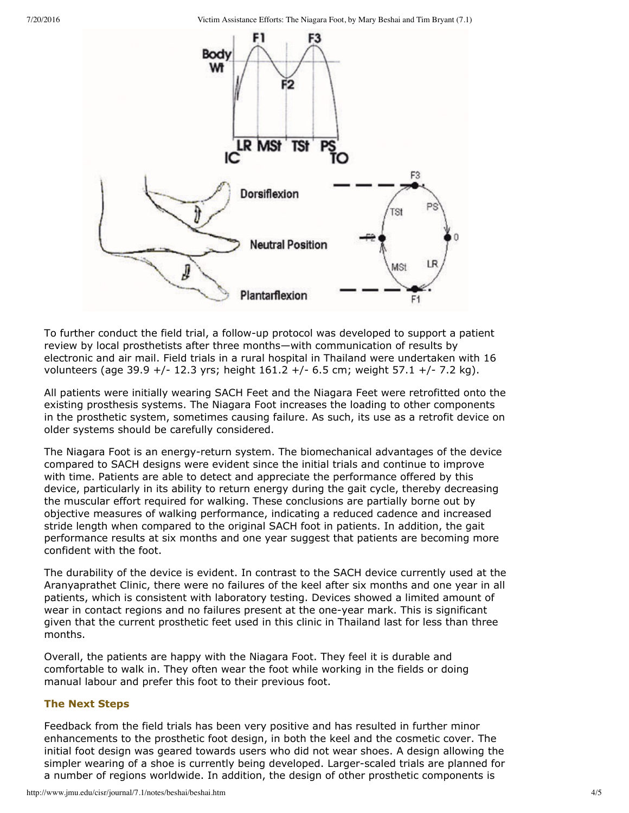7/20/2016 Victim Assistance Efforts: The Niagara Foot, by Mary Beshai and Tim Bryant (7.1)



To further conduct the field trial, a follow-up protocol was developed to support a patient review by local prosthetists after three months—with communication of results by electronic and air mail. Field trials in a rural hospital in Thailand were undertaken with 16 volunteers (age 39.9 +/- 12.3 yrs; height  $161.2$  +/- 6.5 cm; weight 57.1 +/- 7.2 kg).

All patients were initially wearing SACH Feet and the Niagara Feet were retrofitted onto the existing prosthesis systems. The Niagara Foot increases the loading to other components in the prosthetic system, sometimes causing failure. As such, its use as a retrofit device on older systems should be carefully considered.

The Niagara Foot is an energy-return system. The biomechanical advantages of the device compared to SACH designs were evident since the initial trials and continue to improve with time. Patients are able to detect and appreciate the performance offered by this device, particularly in its ability to return energy during the gait cycle, thereby decreasing the muscular effort required for walking. These conclusions are partially borne out by objective measures of walking performance, indicating a reduced cadence and increased stride length when compared to the original SACH foot in patients. In addition, the gait performance results at six months and one year suggest that patients are becoming more confident with the foot.

The durability of the device is evident. In contrast to the SACH device currently used at the Aranyaprathet Clinic, there were no failures of the keel after six months and one year in all patients, which is consistent with laboratory testing. Devices showed a limited amount of wear in contact regions and no failures present at the one-year mark. This is significant given that the current prosthetic feet used in this clinic in Thailand last for less than three months.

Overall, the patients are happy with the Niagara Foot. They feel it is durable and comfortable to walk in. They often wear the foot while working in the fields or doing manual labour and prefer this foot to their previous foot.

#### **The Next Steps**

Feedback from the field trials has been very positive and has resulted in further minor enhancements to the prosthetic foot design, in both the keel and the cosmetic cover. The initial foot design was geared towards users who did not wear shoes. A design allowing the simpler wearing of a shoe is currently being developed. Larger-scaled trials are planned for a number of regions worldwide. In addition, the design of other prosthetic components is